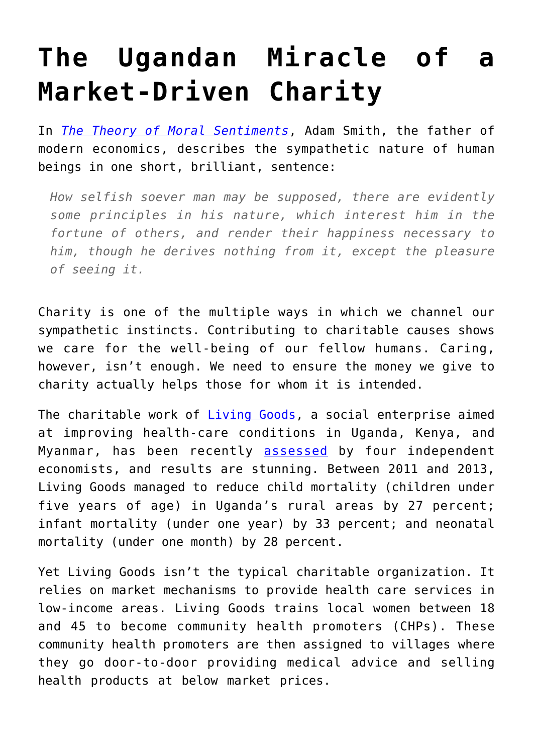## **[The Ugandan Miracle of a](https://intellectualtakeout.org/2019/10/the-ugandan-miracle-of-a-market-driven-charity/) [Market-Driven Charity](https://intellectualtakeout.org/2019/10/the-ugandan-miracle-of-a-market-driven-charity/)**

In *[The Theory of Moral Sentiments](https://oll.libertyfund.org/titles/theory-of-moral-sentiments-and-essays-on-philosophical-subjects)*, Adam Smith, the father of modern economics, describes the sympathetic nature of human beings in one short, brilliant, sentence:

*How selfish soever man may be supposed, there are evidently some principles in his nature, which interest him in the fortune of others, and render their happiness necessary to him, though he derives nothing from it, except the pleasure of seeing it.*

Charity is one of the multiple ways in which we channel our sympathetic instincts. Contributing to charitable causes shows we care for the well-being of our fellow humans. Caring, however, isn't enough. We need to ensure the money we give to charity actually helps those for whom it is intended.

The charitable work of *Living Goods*, a social enterprise aimed at improving health-care conditions in Uganda, Kenya, and Myanmar, has been recently [assessed](https://pubs.aeaweb.org/doi/pdfplus/10.1257/app.20170201) by four independent economists, and results are stunning. Between 2011 and 2013, Living Goods managed to reduce child mortality (children under five years of age) in Uganda's rural areas by 27 percent; infant mortality (under one year) by 33 percent; and neonatal mortality (under one month) by 28 percent.

Yet Living Goods isn't the typical charitable organization. It relies on market mechanisms to provide health care services in low-income areas. Living Goods trains local women between 18 and 45 to become community health promoters (CHPs). These community health promoters are then assigned to villages where they go door-to-door providing medical advice and selling health products at below market prices.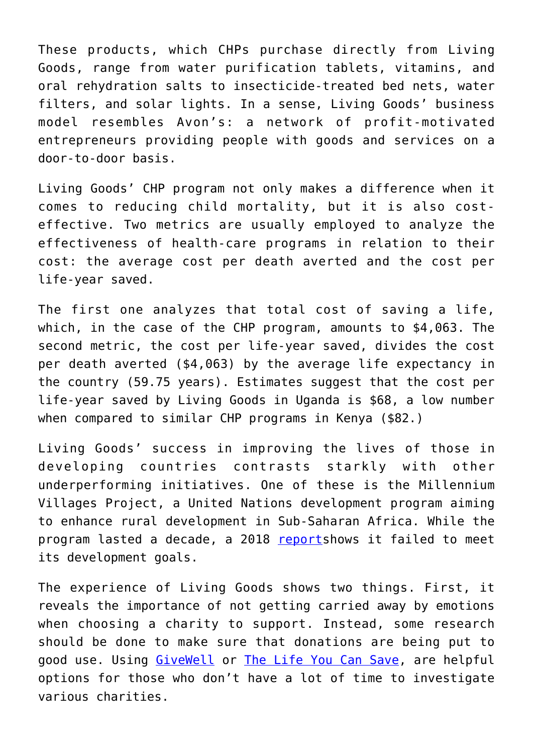These products, which CHPs purchase directly from Living Goods, range from water purification tablets, vitamins, and oral rehydration salts to insecticide-treated bed nets, water filters, and solar lights. In a sense, Living Goods' business model resembles Avon's: a network of profit-motivated entrepreneurs providing people with goods and services on a door-to-door basis.

Living Goods' CHP program not only makes a difference when it comes to reducing child mortality, but it is also costeffective. Two metrics are usually employed to analyze the effectiveness of health-care programs in relation to their cost: the average cost per death averted and the cost per life-year saved.

The first one analyzes that total cost of saving a life, which, in the case of the CHP program, amounts to \$4,063. The second metric, the cost per life-year saved, divides the cost per death averted (\$4,063) by the average life expectancy in the country (59.75 years). Estimates suggest that the cost per life-year saved by Living Goods in Uganda is \$68, a low number when compared to similar CHP programs in Kenya (\$82.)

Living Goods' success in improving the lives of those in developing countries contrasts starkly with other underperforming initiatives. One of these is the Millennium Villages Project, a United Nations development program aiming to enhance rural development in Sub-Saharan Africa. While the program lasted a decade, a 2018 [report](https://opendocs.ids.ac.uk/opendocs/handle/123456789/14060)shows it failed to meet its development goals.

The experience of Living Goods shows two things. First, it reveals the importance of not getting carried away by emotions when choosing a charity to support. Instead, some research should be done to make sure that donations are being put to good use. Using [GiveWell](https://www.givewell.org/) or [The Life You Can Save,](https://www.thelifeyoucansave.org/) are helpful options for those who don't have a lot of time to investigate various charities.